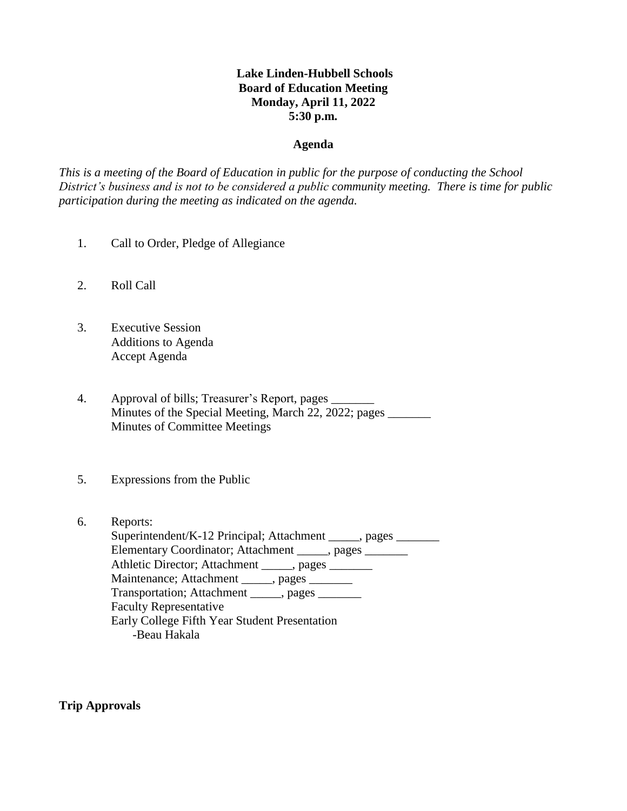# **Lake Linden-Hubbell Schools Board of Education Meeting Monday, April 11, 2022 5:30 p.m.**

## **Agenda**

*This is a meeting of the Board of Education in public for the purpose of conducting the School District's business and is not to be considered a public community meeting. There is time for public participation during the meeting as indicated on the agenda.*

- 1. Call to Order, Pledge of Allegiance
- 2. Roll Call
- 3. Executive Session Additions to Agenda Accept Agenda
- 4. Approval of bills; Treasurer's Report, pages \_\_\_\_\_\_\_ Minutes of the Special Meeting, March 22, 2022; pages Minutes of Committee Meetings
- 5. Expressions from the Public
- 6. Reports: Superintendent/K-12 Principal; Attachment \_\_\_\_\_, pages \_\_\_\_\_\_\_ Elementary Coordinator; Attachment \_\_\_\_\_, pages \_\_\_\_\_\_\_ Athletic Director; Attachment \_\_\_\_\_, pages \_\_\_\_\_\_\_ Maintenance; Attachment \_\_\_\_\_, pages \_\_\_\_\_\_ Transportation; Attachment \_\_\_\_\_, pages \_\_\_\_\_\_\_ Faculty Representative Early College Fifth Year Student Presentation -Beau Hakala

**Trip Approvals**